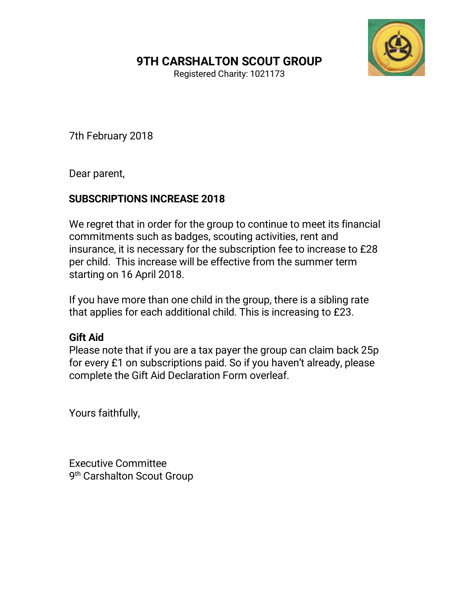## 9TH CARSHALTON SCOUT GROUP



Registered Charity: 1021173

7th February 2018

Dear parent,

## SUBSCRIPTIONS INCREASE 2018

We regret that in order for the group to continue to meet its financial commitments such as badges, scouting activities, rent and insurance, it is necessary for the subscription fee to increase to £28 per child. This increase will be effective from the summer term starting on 16 April 2018.

If you have more than one child in the group, there is a sibling rate that applies for each additional child. This is increasing to £23.

## Gift Aid

Please note that if you are a tax payer the group can claim back 25p for every £1 on subscriptions paid. So if you haven't already, please complete the Gift Aid Declaration Form overleaf.

Yours faithfully,

Executive Committee 9<sup>th</sup> Carshalton Scout Group